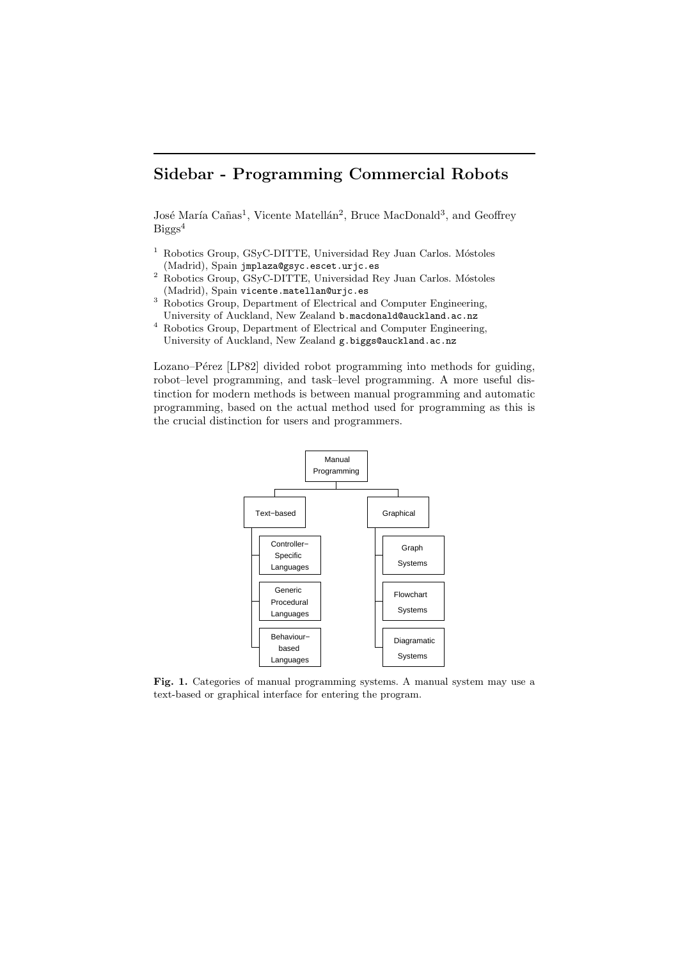# Sidebar - Programming Commercial Robots

José María Cañas<sup>1</sup>, Vicente Matellán<sup>2</sup>, Bruce MacDonald<sup>3</sup>, and Geoffrey Biggs 4

- $1$  Robotics Group, GSyC-DITTE, Universidad Rey Juan Carlos. Móstoles (Madrid), Spain jmplaza@gsyc.escet.urjc.es
- $^2$  Robotics Group, GSyC-DITTE, Universidad Rey Juan Carlos. Móstoles (Madrid), Spain vicente.matellan@urjc.es
- $^3\,$  Robotics Group, Department of Electrical and Computer Engineering, University of Auckland, New Zealand b.macdonald@auckland.ac.nz
- $^4\,$  Robotics Group, Department of Electrical and Computer Engineering, University of Auckland, New Zealand g.biggs@auckland.ac.nz

Lozano–Pérez [LP82] divided robot programming into methods for guiding, robot–level programming, and task–level programming. A more useful distinction for modern methods is between manual programming and automatic programming, based on the actual method used for programming as this is the crucial distinction for users and programmers.



Fig. 1. Categories of manual programming systems. A manual system may use a text-based or graphical interface for entering the program.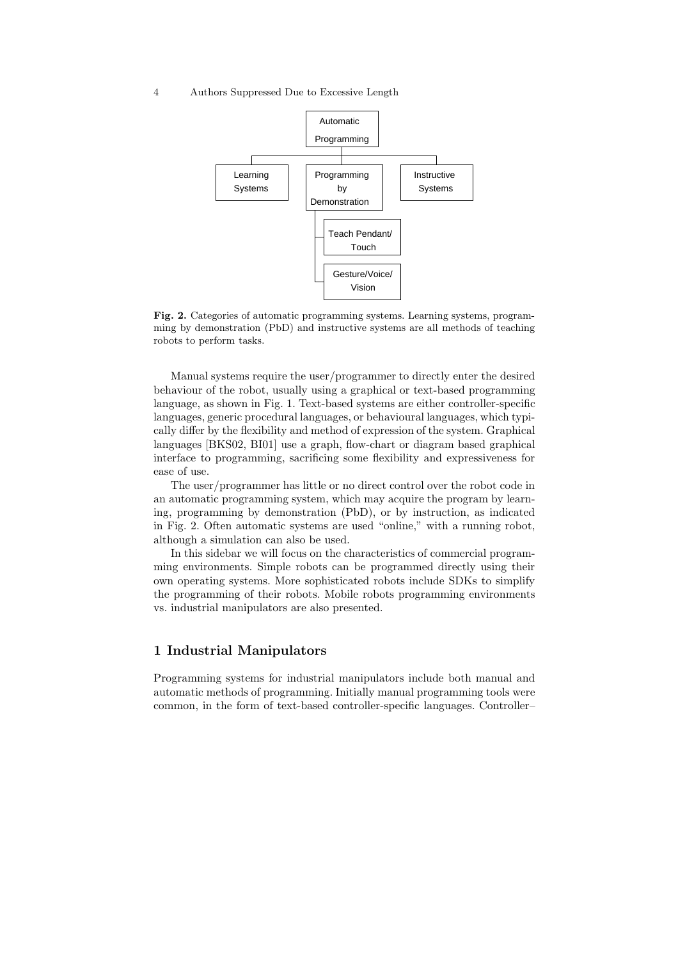#### 4 Authors Suppressed Due to Excessive Length



Fig. 2. Categories of automatic programming systems. Learning systems, programming by demonstration (PbD) and instructive systems are all methods of teaching robots to perform tasks.

Manual systems require the user/programmer to directly enter the desired behaviour of the robot, usually using a graphical or text-based programming language, as shown in Fig. 1. Text-based systems are either controller-specific languages, generic procedural languages, or behavioural languages, which typically differ by the flexibility and method of expression of the system. Graphical languages [BKS02, BI01] use a graph, flow-chart or diagram based graphical interface to programming, sacrificing some flexibility and expressiveness for ease of use.

The user/programmer has little or no direct control over the robot code in an automatic programming system, which may acquire the program by learning, programming by demonstration (PbD), or by instruction, as indicated in Fig. 2. Often automatic systems are used "online," with a running robot, although a simulation can also be used.

In this sidebar we will focus on the characteristics of commercial programming environments. Simple robots can be programmed directly using their own operating systems. More sophisticated robots include SDKs to simplify the programming of their robots. Mobile robots programming environments vs. industrial manipulators are also presented.

## 1 Industrial Manipulators

Programming systems for industrial manipulators include both manual and automatic methods of programming. Initially manual programming tools were common, in the form of text-based controller-specific languages. Controller–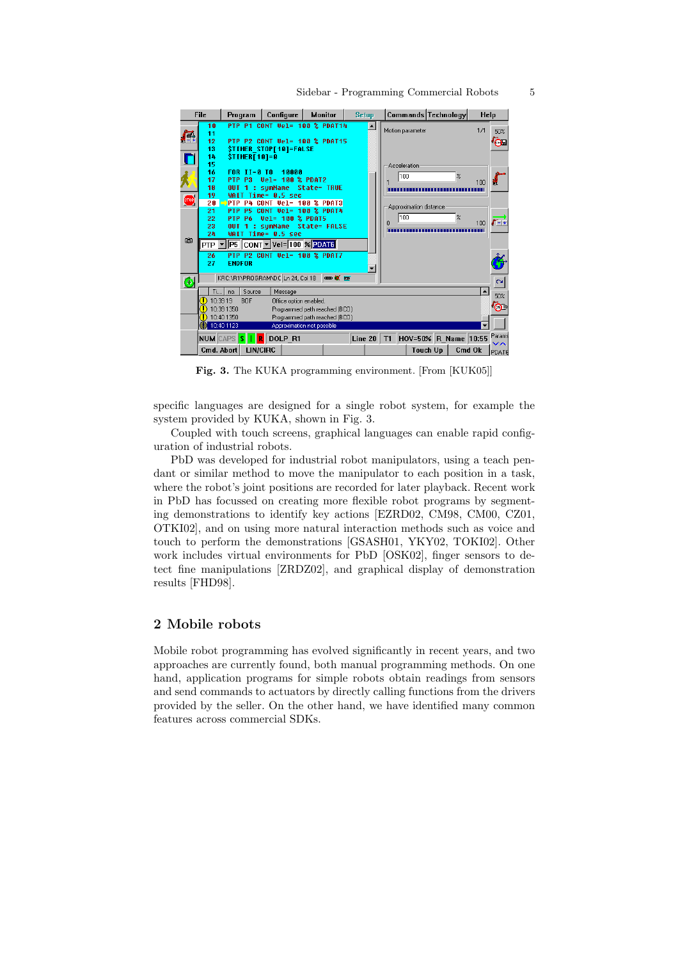

Fig. 3. The KUKA programming environment. [From [KUK05]]

specific languages are designed for a single robot system, for example the system provided by KUKA, shown in Fig. 3.

Coupled with touch screens, graphical languages can enable rapid configuration of industrial robots.

PbD was developed for industrial robot manipulators, using a teach pendant or similar method to move the manipulator to each position in a task, where the robot's joint positions are recorded for later playback. Recent work in PbD has focussed on creating more flexible robot programs by segmenting demonstrations to identify key actions [EZRD02, CM98, CM00, CZ01, OTKI02], and on using more natural interaction methods such as voice and touch to perform the demonstrations [GSASH01, YKY02, TOKI02]. Other work includes virtual environments for PbD [OSK02], finger sensors to detect fine manipulations [ZRDZ02], and graphical display of demonstration results [FHD98].

## 2 Mobile robots

Mobile robot programming has evolved significantly in recent years, and two approaches are currently found, both manual programming methods. On one hand, application programs for simple robots obtain readings from sensors and send commands to actuators by directly calling functions from the drivers provided by the seller. On the other hand, we have identified many common features across commercial SDKs.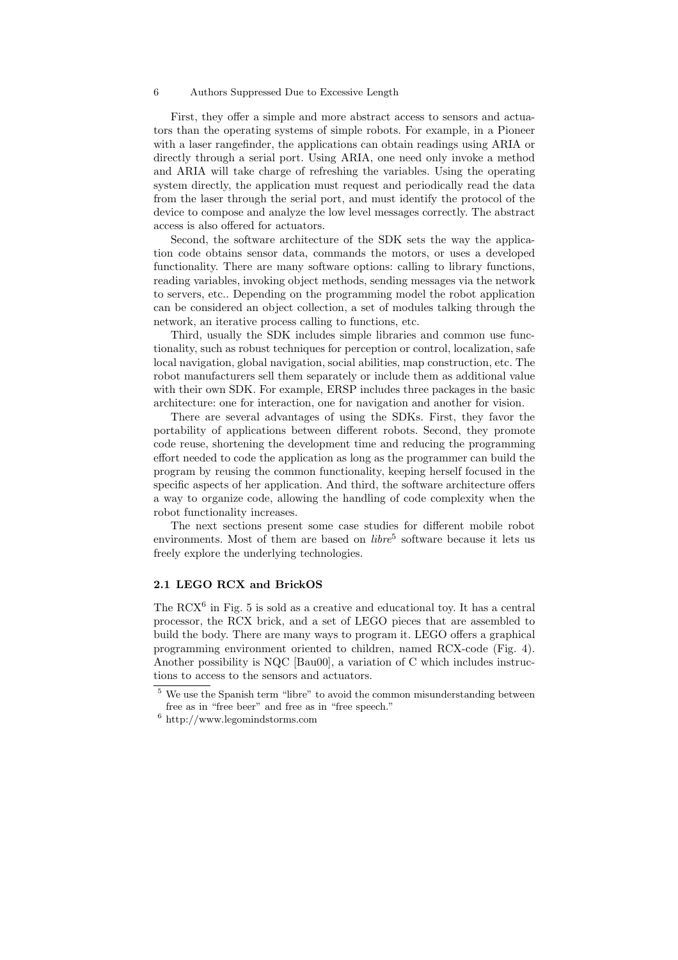#### 6 Authors Suppressed Due to Excessive Length

First, they offer a simple and more abstract access to sensors and actuators than the operating systems of simple robots. For example, in a Pioneer with a laser rangefinder, the applications can obtain readings using ARIA or directly through a serial port. Using ARIA, one need only invoke a method and ARIA will take charge of refreshing the variables. Using the operating system directly, the application must request and periodically read the data from the laser through the serial port, and must identify the protocol of the device to compose and analyze the low level messages correctly. The abstract access is also offered for actuators.

Second, the software architecture of the SDK sets the way the application code obtains sensor data, commands the motors, or uses a developed functionality. There are many software options: calling to library functions, reading variables, invoking object methods, sending messages via the network to servers, etc.. Depending on the programming model the robot application can be considered an object collection, a set of modules talking through the network, an iterative process calling to functions, etc.

Third, usually the SDK includes simple libraries and common use functionality, such as robust techniques for perception or control, localization, safe local navigation, global navigation, social abilities, map construction, etc. The robot manufacturers sell them separately or include them as additional value with their own SDK. For example, ERSP includes three packages in the basic architecture: one for interaction, one for navigation and another for vision.

There are several advantages of using the SDKs. First, they favor the portability of applications between different robots. Second, they promote code reuse, shortening the development time and reducing the programming effort needed to code the application as long as the programmer can build the program by reusing the common functionality, keeping herself focused in the specific aspects of her application. And third, the software architecture offers a way to organize code, allowing the handling of code complexity when the robot functionality increases.

The next sections present some case studies for different mobile robot environments. Most of them are based on  $\textit{libre}^5$  software because it lets us freely explore the underlying technologies.

## 2.1 LEGO RCX and BrickOS

The RCX<sup>6</sup> in Fig. 5 is sold as a creative and educational toy. It has a central processor, the RCX brick, and a set of LEGO pieces that are assembled to build the body. There are many ways to program it. LEGO offers a graphical programming environment oriented to children, named RCX-code (Fig. 4). Another possibility is NQC [Bau00], a variation of C which includes instructions to access to the sensors and actuators.

We use the Spanish term "libre" to avoid the common misunderstanding between free as in "free beer" and free as in "free speech."

 $^6$ http://www.legomindstorms.com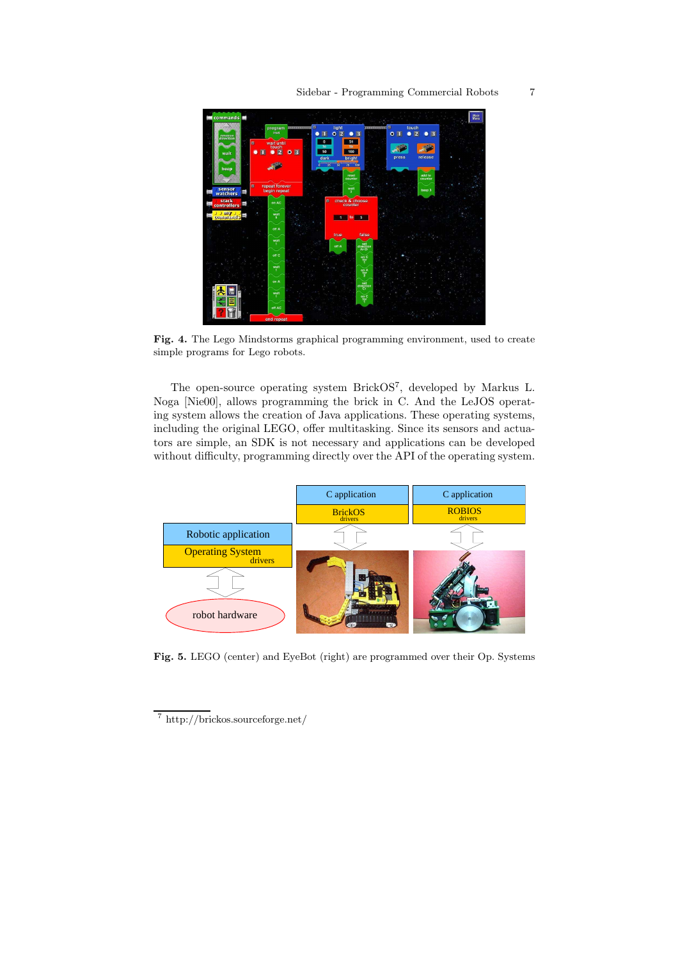

Fig. 4. The Lego Mindstorms graphical programming environment, used to create simple programs for Lego robots.

The open-source operating system BrickOS 7 , developed by Markus L. Noga [Nie00], allows programming the brick in C. And the LeJOS operating system allows the creation of Java applications. These operating systems, including the original LEGO, offer multitasking. Since its sensors and actuators are simple, an SDK is not necessary and applications can be developed without difficulty, programming directly over the API of the operating system.



Fig. 5. LEGO (center) and EyeBot (right) are programmed over their Op. Systems

<sup>7</sup> http://brickos.sourceforge.net/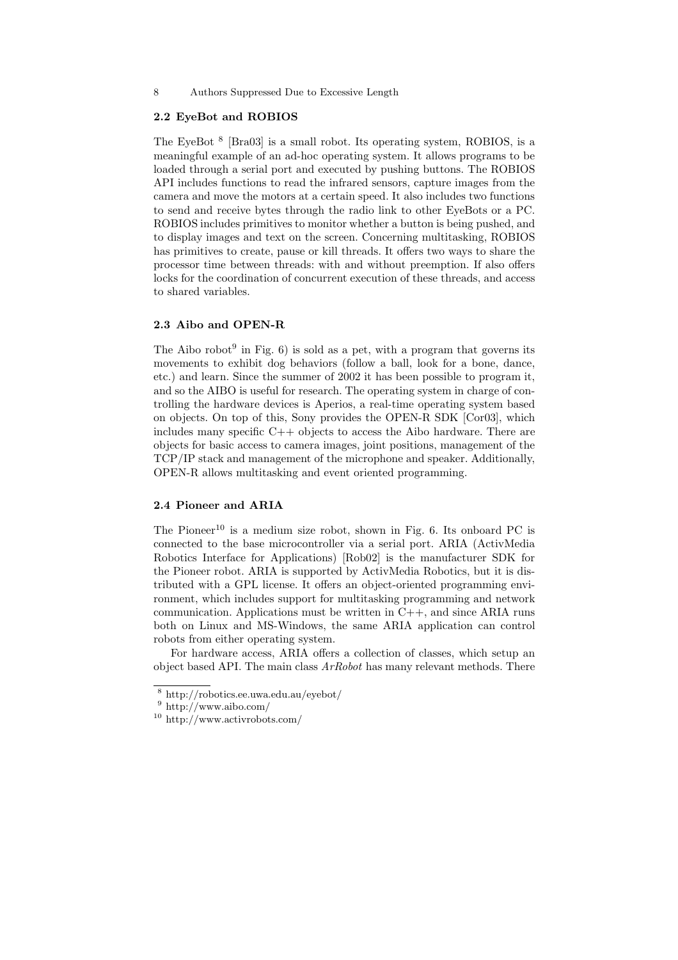#### 8 Authors Suppressed Due to Excessive Length

#### 2.2 EyeBot and ROBIOS

The EyeBot<sup>8</sup> [Bra03] is a small robot. Its operating system, ROBIOS, is a meaningful example of an ad-hoc operating system. It allows programs to be loaded through a serial port and executed by pushing buttons. The ROBIOS API includes functions to read the infrared sensors, capture images from the camera and move the motors at a certain speed. It also includes two functions to send and receive bytes through the radio link to other EyeBots or a PC. ROBIOS includes primitives to monitor whether a button is being pushed, and to display images and text on the screen. Concerning multitasking, ROBIOS has primitives to create, pause or kill threads. It offers two ways to share the processor time between threads: with and without preemption. If also offers locks for the coordination of concurrent execution of these threads, and access to shared variables.

## 2.3 Aibo and OPEN-R

The Aibo robot<sup>9</sup> in Fig.  $6$ ) is sold as a pet, with a program that governs its movements to exhibit dog behaviors (follow a ball, look for a bone, dance, etc.) and learn. Since the summer of 2002 it has been possible to program it, and so the AIBO is useful for research. The operating system in charge of controlling the hardware devices is Aperios, a real-time operating system based on objects. On top of this, Sony provides the OPEN-R SDK [Cor03], which includes many specific C++ objects to access the Aibo hardware. There are objects for basic access to camera images, joint positions, management of the TCP/IP stack and management of the microphone and speaker. Additionally, OPEN-R allows multitasking and event oriented programming.

## 2.4 Pioneer and ARIA

The Pioneer<sup>10</sup> is a medium size robot, shown in Fig. 6. Its onboard PC is connected to the base microcontroller via a serial port. ARIA (ActivMedia Robotics Interface for Applications) [Rob02] is the manufacturer SDK for the Pioneer robot. ARIA is supported by ActivMedia Robotics, but it is distributed with a GPL license. It offers an object-oriented programming environment, which includes support for multitasking programming and network communication. Applications must be written in  $C++$ , and since ARIA runs both on Linux and MS-Windows, the same ARIA application can control robots from either operating system.

For hardware access, ARIA offers a collection of classes, which setup an object based API. The main class  $ArRobot$  has many relevant methods. There

<sup>8</sup> http://robotics.ee.uwa.edu.au/eyebot/

 $9 \text{ http://www.aibo.com/}$ 

<sup>10</sup> http://www.activrobots.com/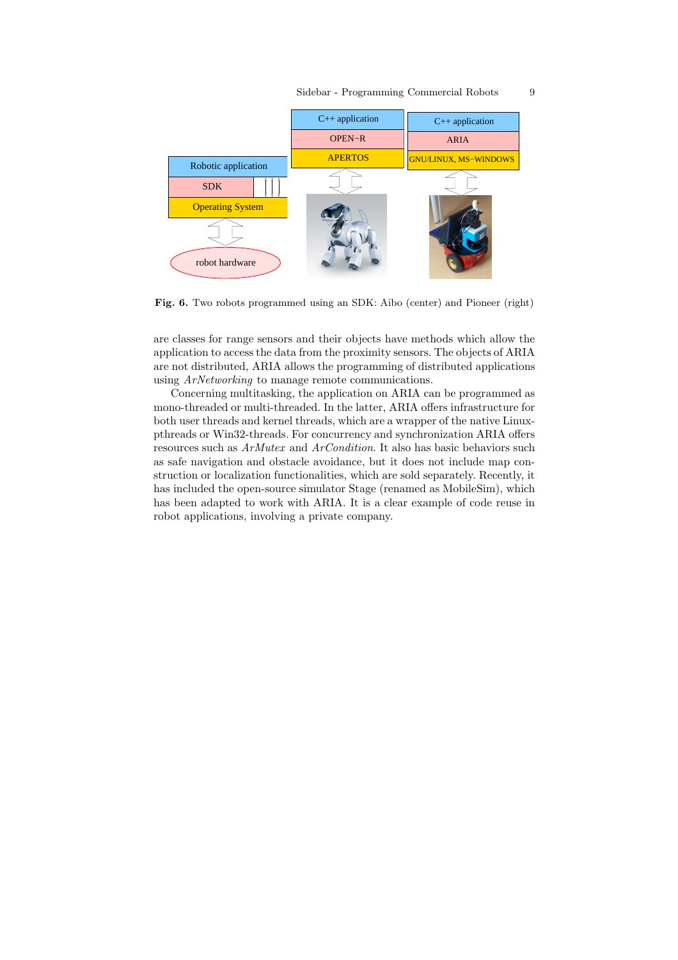

Fig. 6. Two robots programmed using an SDK: Aibo (center) and Pioneer (right)

are classes for range sensors and their objects have methods which allow the application to access the data from the proximity sensors. The objects of ARIA are not distributed, ARIA allows the programming of distributed applications using ArNetworking to manage remote communications.

Concerning multitasking, the application on ARIA can be programmed as mono-threaded or multi-threaded. In the latter, ARIA offers infrastructure for both user threads and kernel threads, which are a wrapper of the native Linuxpthreads or Win32-threads. For concurrency and synchronization ARIA offers resources such as ArMutex and ArCondition. It also has basic behaviors such as safe navigation and obstacle avoidance, but it does not include map construction or localization functionalities, which are sold separately. Recently, it has included the open-source simulator Stage (renamed as MobileSim), which has been adapted to work with ARIA. It is a clear example of code reuse in robot applications, involving a private company.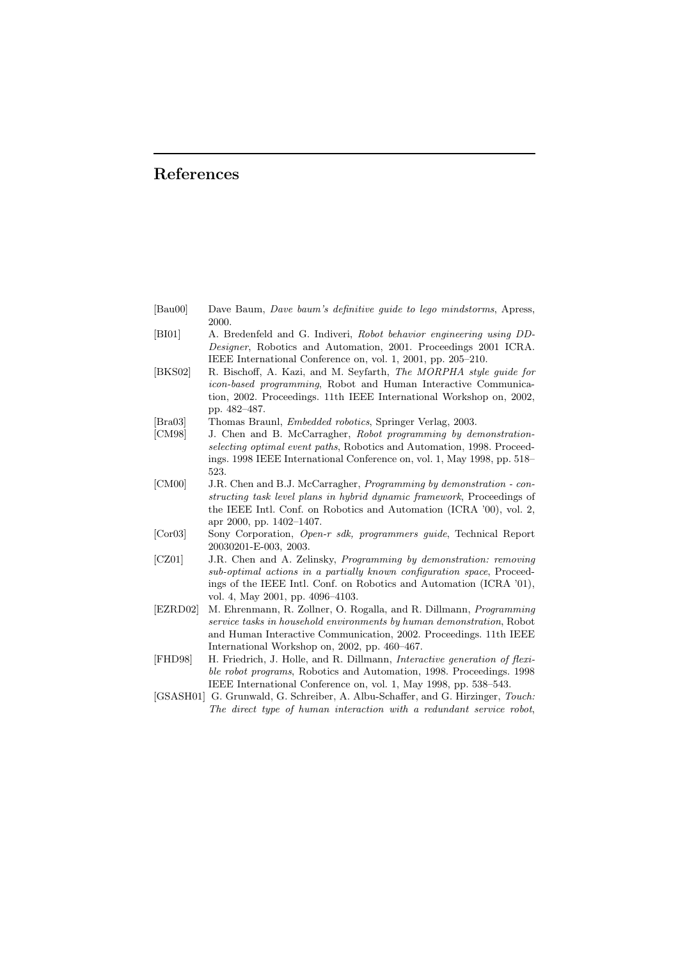## References

| [Bau00] | Dave Baum, Dave baum's definitive guide to lego mindstorms, Apress, |  |  |  |  |
|---------|---------------------------------------------------------------------|--|--|--|--|
|         | 2000.                                                               |  |  |  |  |

- [BI01] A. Bredenfeld and G. Indiveri, Robot behavior engineering using DD-Designer, Robotics and Automation, 2001. Proceedings 2001 ICRA. IEEE International Conference on, vol. 1, 2001, pp. 205–210.
- [BKS02] R. Bischoff, A. Kazi, and M. Seyfarth, The MORPHA style guide for icon-based programming, Robot and Human Interactive Communication, 2002. Proceedings. 11th IEEE International Workshop on, 2002, pp. 482–487.
- [Bra03] Thomas Braunl, Embedded robotics, Springer Verlag, 2003.
- [CM98] J. Chen and B. McCarragher, Robot programming by demonstrationselecting optimal event paths, Robotics and Automation, 1998. Proceedings. 1998 IEEE International Conference on, vol. 1, May 1998, pp. 518– 523.
- [CM00] J.R. Chen and B.J. McCarragher, Programming by demonstration constructing task level plans in hybrid dynamic framework, Proceedings of the IEEE Intl. Conf. on Robotics and Automation (ICRA '00), vol. 2, apr 2000, pp. 1402–1407.
- [Cor03] Sony Corporation, Open-r sdk, programmers guide, Technical Report 20030201-E-003, 2003.
- [CZ01] J.R. Chen and A. Zelinsky, Programming by demonstration: removing sub-optimal actions in a partially known configuration space, Proceedings of the IEEE Intl. Conf. on Robotics and Automation (ICRA '01), vol. 4, May 2001, pp. 4096–4103.
- [EZRD02] M. Ehrenmann, R. Zollner, O. Rogalla, and R. Dillmann, Programming service tasks in household environments by human demonstration, Robot and Human Interactive Communication, 2002. Proceedings. 11th IEEE International Workshop on, 2002, pp. 460–467.
- [FHD98] H. Friedrich, J. Holle, and R. Dillmann, Interactive generation of flexible robot programs, Robotics and Automation, 1998. Proceedings. 1998 IEEE International Conference on, vol. 1, May 1998, pp. 538–543.
- [GSASH01] G. Grunwald, G. Schreiber, A. Albu-Schaffer, and G. Hirzinger, Touch: The direct type of human interaction with a redundant service robot,